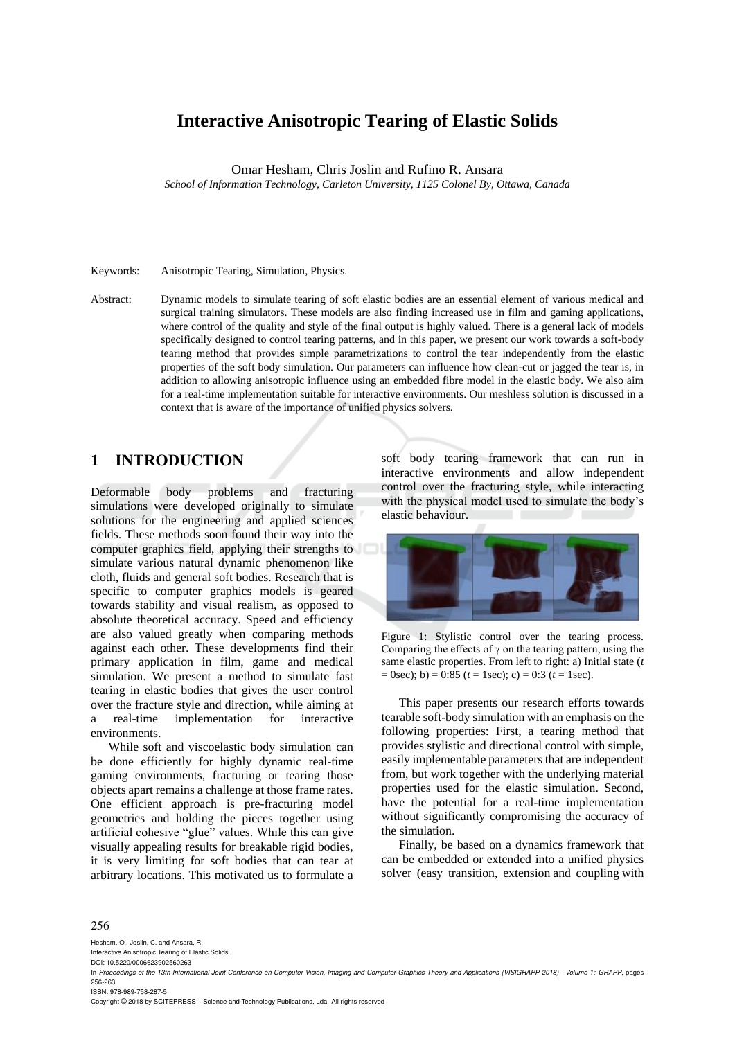# **Interactive Anisotropic Tearing of Elastic Solids**

Omar Hesham, Chris Joslin and Rufino R. Ansara

*School of Information Technology, Carleton University, 1125 Colonel By, Ottawa, Canada*

Keywords: Anisotropic Tearing, Simulation, Physics.

Abstract: Dynamic models to simulate tearing of soft elastic bodies are an essential element of various medical and surgical training simulators. These models are also finding increased use in film and gaming applications, where control of the quality and style of the final output is highly valued. There is a general lack of models specifically designed to control tearing patterns, and in this paper, we present our work towards a soft-body tearing method that provides simple parametrizations to control the tear independently from the elastic properties of the soft body simulation. Our parameters can influence how clean-cut or jagged the tear is, in addition to allowing anisotropic influence using an embedded fibre model in the elastic body. We also aim for a real-time implementation suitable for interactive environments. Our meshless solution is discussed in a context that is aware of the importance of unified physics solvers.

# **1 INTRODUCTION**

Deformable body problems and fracturing simulations were developed originally to simulate solutions for the engineering and applied sciences fields. These methods soon found their way into the computer graphics field, applying their strengths to simulate various natural dynamic phenomenon like cloth, fluids and general soft bodies. Research that is specific to computer graphics models is geared towards stability and visual realism, as opposed to absolute theoretical accuracy. Speed and efficiency are also valued greatly when comparing methods against each other. These developments find their primary application in film, game and medical simulation. We present a method to simulate fast tearing in elastic bodies that gives the user control over the fracture style and direction, while aiming at a real-time implementation for interactive environments.

While soft and viscoelastic body simulation can be done efficiently for highly dynamic real-time gaming environments, fracturing or tearing those objects apart remains a challenge at those frame rates. One efficient approach is pre-fracturing model geometries and holding the pieces together using artificial cohesive "glue" values. While this can give visually appealing results for breakable rigid bodies, it is very limiting for soft bodies that can tear at arbitrary locations. This motivated us to formulate a

soft body tearing framework that can run in interactive environments and allow independent control over the fracturing style, while interacting with the physical model used to simulate the body's elastic behaviour.



Figure 1: Stylistic control over the tearing process. Comparing the effects of  $\gamma$  on the tearing pattern, using the same elastic properties. From left to right: a) Initial state (*t*   $= 0$ sec); b)  $= 0.85$  ( $t = 1$ sec); c)  $= 0.3$  ( $t = 1$ sec).

This paper presents our research efforts towards tearable soft-body simulation with an emphasis on the following properties: First, a tearing method that provides stylistic and directional control with simple, easily implementable parameters that are independent from, but work together with the underlying material properties used for the elastic simulation. Second, have the potential for a real-time implementation without significantly compromising the accuracy of the simulation.

Finally, be based on a dynamics framework that can be embedded or extended into a unified physics solver (easy transition, extension and coupling with

#### 256

Hesham, O., Joslin, C. and Ansara, R. Interactive Anisotropic Tearing of Elastic Solids.

DOI: 10.5220/0006623902560263

ISBN: 978-989-758-287-5

Copyright © 2018 by SCITEPRESS – Science and Technology Publications, Lda. All rights reserved

In *Proceedings of the 13th International Joint Conference on Computer Vision, Imaging and Computer Graphics Theory and Applications (VISIGRAPP 2018) - Volume 1: GRAPP*, pages 256-263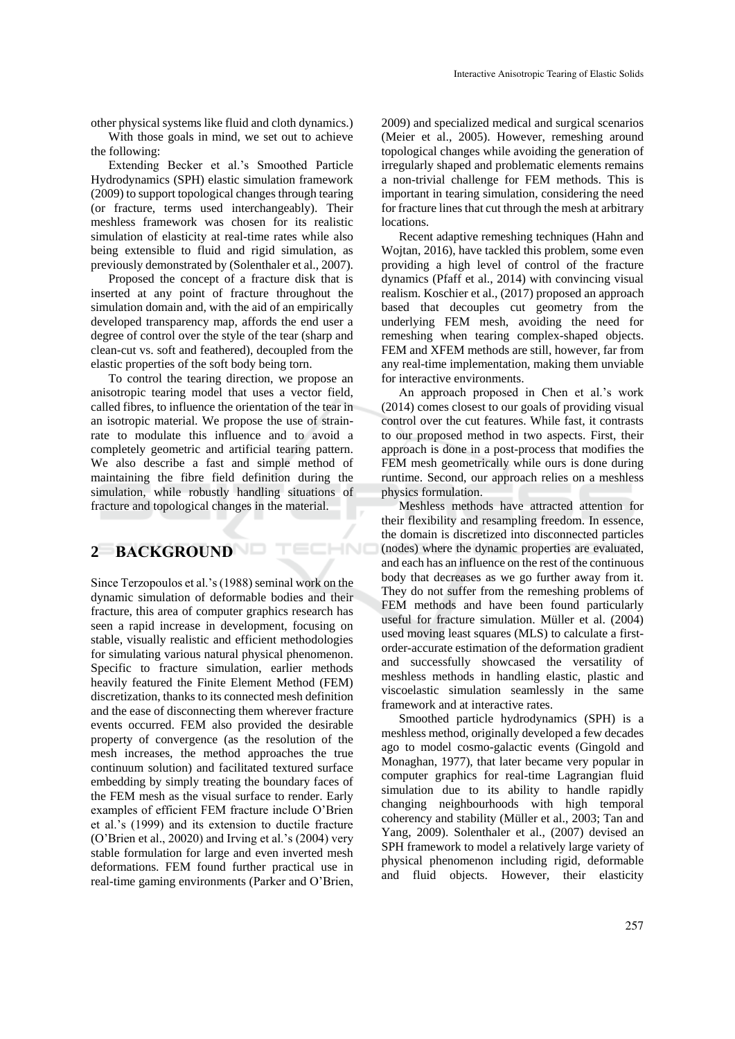other physical systems like fluid and cloth dynamics.)

With those goals in mind, we set out to achieve the following:

Extending Becker et al.'s Smoothed Particle Hydrodynamics (SPH) elastic simulation framework (2009) to support topological changes through tearing (or fracture, terms used interchangeably). Their meshless framework was chosen for its realistic simulation of elasticity at real-time rates while also being extensible to fluid and rigid simulation, as previously demonstrated by (Solenthaler et al., 2007).

Proposed the concept of a fracture disk that is inserted at any point of fracture throughout the simulation domain and, with the aid of an empirically developed transparency map, affords the end user a degree of control over the style of the tear (sharp and clean-cut vs. soft and feathered), decoupled from the elastic properties of the soft body being torn.

To control the tearing direction, we propose an anisotropic tearing model that uses a vector field, called fibres, to influence the orientation of the tear in an isotropic material. We propose the use of strainrate to modulate this influence and to avoid a completely geometric and artificial tearing pattern. We also describe a fast and simple method of maintaining the fibre field definition during the simulation, while robustly handling situations of fracture and topological changes in the material.

ECHNO

## **2 BACKGROUND**

Since Terzopoulos et al.'s (1988) seminal work on the dynamic simulation of deformable bodies and their fracture, this area of computer graphics research has seen a rapid increase in development, focusing on stable, visually realistic and efficient methodologies for simulating various natural physical phenomenon. Specific to fracture simulation, earlier methods heavily featured the Finite Element Method (FEM) discretization, thanks to its connected mesh definition and the ease of disconnecting them wherever fracture events occurred. FEM also provided the desirable property of convergence (as the resolution of the mesh increases, the method approaches the true continuum solution) and facilitated textured surface embedding by simply treating the boundary faces of the FEM mesh as the visual surface to render. Early examples of efficient FEM fracture include O'Brien et al.'s (1999) and its extension to ductile fracture (O'Brien et al., 20020) and Irving et al.'s (2004) very stable formulation for large and even inverted mesh deformations. FEM found further practical use in real-time gaming environments (Parker and O'Brien,

2009) and specialized medical and surgical scenarios (Meier et al., 2005). However, remeshing around topological changes while avoiding the generation of irregularly shaped and problematic elements remains a non-trivial challenge for FEM methods. This is important in tearing simulation, considering the need for fracture lines that cut through the mesh at arbitrary locations.

Recent adaptive remeshing techniques (Hahn and Wojtan, 2016), have tackled this problem, some even providing a high level of control of the fracture dynamics (Pfaff et al., 2014) with convincing visual realism. Koschier et al., (2017) proposed an approach based that decouples cut geometry from the underlying FEM mesh, avoiding the need for remeshing when tearing complex-shaped objects. FEM and XFEM methods are still, however, far from any real-time implementation, making them unviable for interactive environments.

An approach proposed in Chen et al.'s work (2014) comes closest to our goals of providing visual control over the cut features. While fast, it contrasts to our proposed method in two aspects. First, their approach is done in a post-process that modifies the FEM mesh geometrically while ours is done during runtime. Second, our approach relies on a meshless physics formulation.

Meshless methods have attracted attention for their flexibility and resampling freedom. In essence, the domain is discretized into disconnected particles (nodes) where the dynamic properties are evaluated, and each has an influence on the rest of the continuous body that decreases as we go further away from it. They do not suffer from the remeshing problems of FEM methods and have been found particularly useful for fracture simulation. Müller et al. (2004) used moving least squares (MLS) to calculate a firstorder-accurate estimation of the deformation gradient and successfully showcased the versatility of meshless methods in handling elastic, plastic and viscoelastic simulation seamlessly in the same framework and at interactive rates.

Smoothed particle hydrodynamics (SPH) is a meshless method, originally developed a few decades ago to model cosmo-galactic events (Gingold and Monaghan, 1977), that later became very popular in computer graphics for real-time Lagrangian fluid simulation due to its ability to handle rapidly changing neighbourhoods with high temporal coherency and stability (Müller et al., 2003; Tan and Yang, 2009). Solenthaler et al., (2007) devised an SPH framework to model a relatively large variety of physical phenomenon including rigid, deformable and fluid objects. However, their elasticity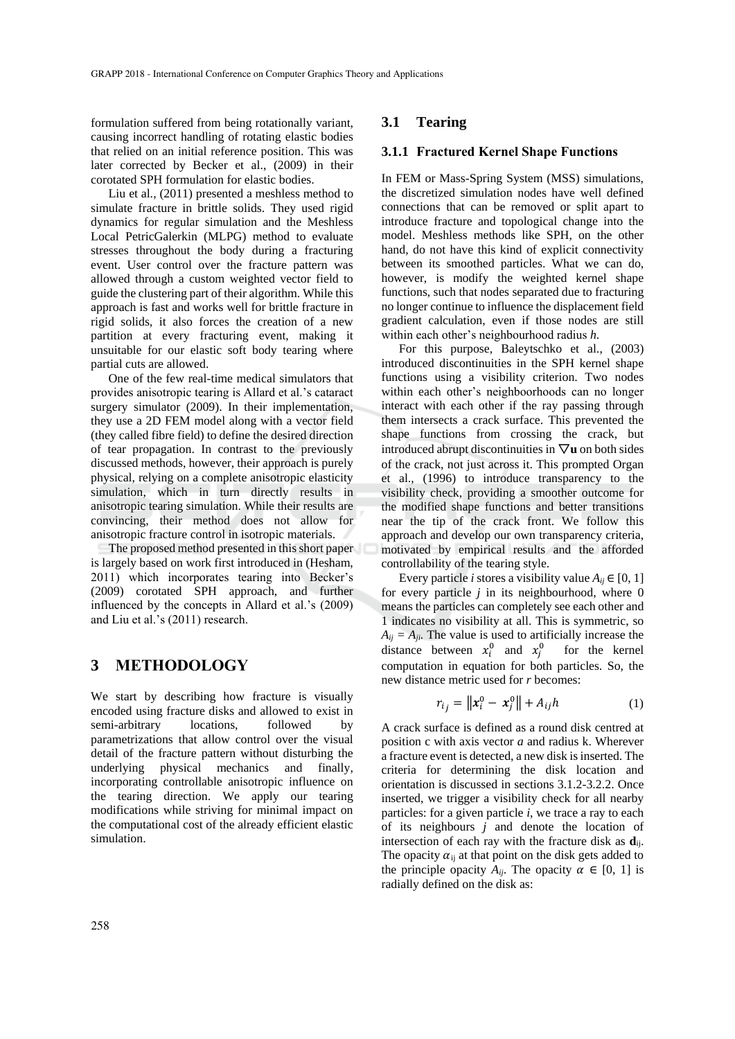formulation suffered from being rotationally variant, causing incorrect handling of rotating elastic bodies that relied on an initial reference position. This was later corrected by Becker et al., (2009) in their corotated SPH formulation for elastic bodies.

Liu et al., (2011) presented a meshless method to simulate fracture in brittle solids. They used rigid dynamics for regular simulation and the Meshless Local PetricGalerkin (MLPG) method to evaluate stresses throughout the body during a fracturing event. User control over the fracture pattern was allowed through a custom weighted vector field to guide the clustering part of their algorithm. While this approach is fast and works well for brittle fracture in rigid solids, it also forces the creation of a new partition at every fracturing event, making it unsuitable for our elastic soft body tearing where partial cuts are allowed.

One of the few real-time medical simulators that provides anisotropic tearing is Allard et al.'s cataract surgery simulator (2009). In their implementation, they use a 2D FEM model along with a vector field (they called fibre field) to define the desired direction of tear propagation. In contrast to the previously discussed methods, however, their approach is purely physical, relying on a complete anisotropic elasticity simulation, which in turn directly results in anisotropic tearing simulation. While their results are convincing, their method does not allow for anisotropic fracture control in isotropic materials.

The proposed method presented in this short paper is largely based on work first introduced in (Hesham, 2011) which incorporates tearing into Becker's (2009) corotated SPH approach, and further influenced by the concepts in Allard et al.'s (2009) and Liu et al.'s (2011) research.

## **3 METHODOLOGY**

We start by describing how fracture is visually encoded using fracture disks and allowed to exist in semi-arbitrary locations, followed by parametrizations that allow control over the visual detail of the fracture pattern without disturbing the underlying physical mechanics and finally, incorporating controllable anisotropic influence on the tearing direction. We apply our tearing modifications while striving for minimal impact on the computational cost of the already efficient elastic simulation.

### **3.1 Tearing**

#### **3.1.1 Fractured Kernel Shape Functions**

In FEM or Mass-Spring System (MSS) simulations, the discretized simulation nodes have well defined connections that can be removed or split apart to introduce fracture and topological change into the model. Meshless methods like SPH, on the other hand, do not have this kind of explicit connectivity between its smoothed particles. What we can do, however, is modify the weighted kernel shape functions, such that nodes separated due to fracturing no longer continue to influence the displacement field gradient calculation, even if those nodes are still within each other's neighbourhood radius *h*.

For this purpose, Baleytschko et al., (2003) introduced discontinuities in the SPH kernel shape functions using a visibility criterion. Two nodes within each other's neighboorhoods can no longer interact with each other if the ray passing through them intersects a crack surface. This prevented the shape functions from crossing the crack, but introduced abrupt discontinuities in  $\nabla$ **u** on both sides of the crack, not just across it. This prompted Organ et al., (1996) to introduce transparency to the visibility check, providing a smoother outcome for the modified shape functions and better transitions near the tip of the crack front. We follow this approach and develop our own transparency criteria, motivated by empirical results and the afforded controllability of the tearing style.

Every particle *i* stores a visibility value  $A_{ii} \in [0, 1]$ for every particle *j* in its neighbourhood, where 0 means the particles can completely see each other and 1 indicates no visibility at all. This is symmetric, so  $A_{ij} = A_{ji}$ . The value is used to artificially increase the distance between  $x_i^0$  and  $x_j^0$  for the kernel computation in equation for both particles. So, the new distance metric used for *r* becomes:

$$
r_{i_j} = ||x_i^0 - x_j^0|| + A_{ij}h
$$
 (1)

A crack surface is defined as a round disk centred at position c with axis vector *a* and radius k. Wherever a fracture event is detected, a new disk is inserted. The criteria for determining the disk location and orientation is discussed in sections 3.1.2-3.2.2. Once inserted, we trigger a visibility check for all nearby particles: for a given particle *i*, we trace a ray to each of its neighbours *j* and denote the location of intersection of each ray with the fracture disk as **d**ij. The opacity  $\alpha_{ii}$  at that point on the disk gets added to the principle opacity  $A_{ij}$ . The opacity  $\alpha \in [0, 1]$  is radially defined on the disk as: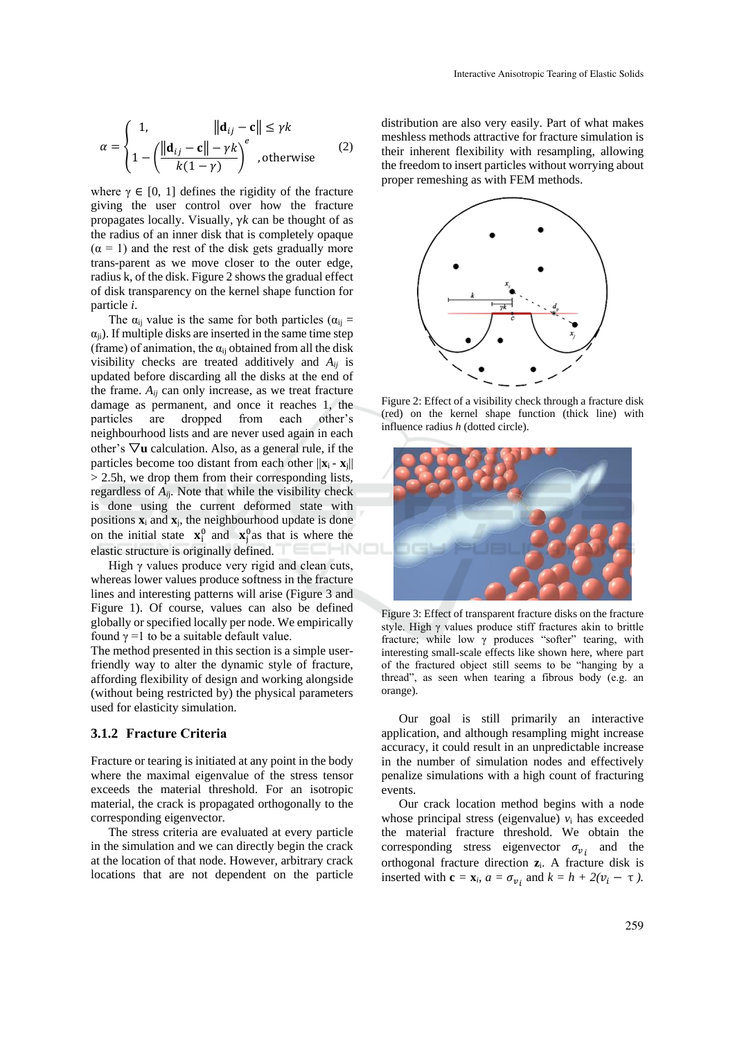$$
\alpha = \begin{cases} 1, & \|\mathbf{d}_{ij} - \mathbf{c}\| \le \gamma k \\ 1 - \left(\frac{\|\mathbf{d}_{ij} - \mathbf{c}\| - \gamma k}{k(1 - \gamma)}\right)^e, \text{otherwise} \end{cases} \tag{2}
$$

where  $\gamma \in [0, 1]$  defines the rigidity of the fracture giving the user control over how the fracture propagates locally. Visually, γ*k* can be thought of as the radius of an inner disk that is completely opaque  $(\alpha = 1)$  and the rest of the disk gets gradually more trans-parent as we move closer to the outer edge, radius k, of the disk. Figure 2 shows the gradual effect of disk transparency on the kernel shape function for particle *i*.

The  $\alpha_{ii}$  value is the same for both particles ( $\alpha_{ii}$  =  $\alpha_{ii}$ ). If multiple disks are inserted in the same time step (frame) of animation, the  $\alpha_{ij}$  obtained from all the disk visibility checks are treated additively and *Aij* is updated before discarding all the disks at the end of the frame.  $A_{ii}$  can only increase, as we treat fracture damage as permanent, and once it reaches 1, the particles are dropped from each other's neighbourhood lists and are never used again in each other's ▽**u** calculation. Also, as a general rule, if the particles become too distant from each other  $||\mathbf{x}_i - \mathbf{x}_j||$ > 2.5h, we drop them from their corresponding lists, regardless of *Ai*j. Note that while the visibility check is done using the current deformed state with positions  $\mathbf{x}_i$  and  $\mathbf{x}_j$ , the neighbourhood update is done on the initial state  $\mathbf{x}_i^0$  and  $\mathbf{x}_j^0$  as that is where the elastic structure is originally defined.

High γ values produce very rigid and clean cuts, whereas lower values produce softness in the fracture lines and interesting patterns will arise (Figure 3 and Figure 1). Of course, values can also be defined globally or specified locally per node. We empirically found  $\gamma = 1$  to be a suitable default value.

The method presented in this section is a simple userfriendly way to alter the dynamic style of fracture, affording flexibility of design and working alongside (without being restricted by) the physical parameters used for elasticity simulation.

### **3.1.2 Fracture Criteria**

Fracture or tearing is initiated at any point in the body where the maximal eigenvalue of the stress tensor exceeds the material threshold. For an isotropic material, the crack is propagated orthogonally to the corresponding eigenvector.

The stress criteria are evaluated at every particle in the simulation and we can directly begin the crack at the location of that node. However, arbitrary crack locations that are not dependent on the particle

distribution are also very easily. Part of what makes meshless methods attractive for fracture simulation is their inherent flexibility with resampling, allowing the freedom to insert particles without worrying about proper remeshing as with FEM methods.



Figure 2: Effect of a visibility check through a fracture disk (red) on the kernel shape function (thick line) with influence radius *h* (dotted circle).



Figure 3: Effect of transparent fracture disks on the fracture style. High γ values produce stiff fractures akin to brittle fracture; while low  $\gamma$  produces "softer" tearing, with interesting small-scale effects like shown here, where part of the fractured object still seems to be "hanging by a thread", as seen when tearing a fibrous body (e.g. an orange).

Our goal is still primarily an interactive application, and although resampling might increase accuracy, it could result in an unpredictable increase in the number of simulation nodes and effectively penalize simulations with a high count of fracturing events.

Our crack location method begins with a node whose principal stress (eigenvalue)  $v_i$  has exceeded the material fracture threshold. We obtain the corresponding stress eigenvector  $\sigma_{v_i}$  and the orthogonal fracture direction **z**i. A fracture disk is inserted with  $\mathbf{c} = \mathbf{x}_i$ ,  $a = \sigma_{v_i}$  and  $k = h + 2(v_i - \tau)$ .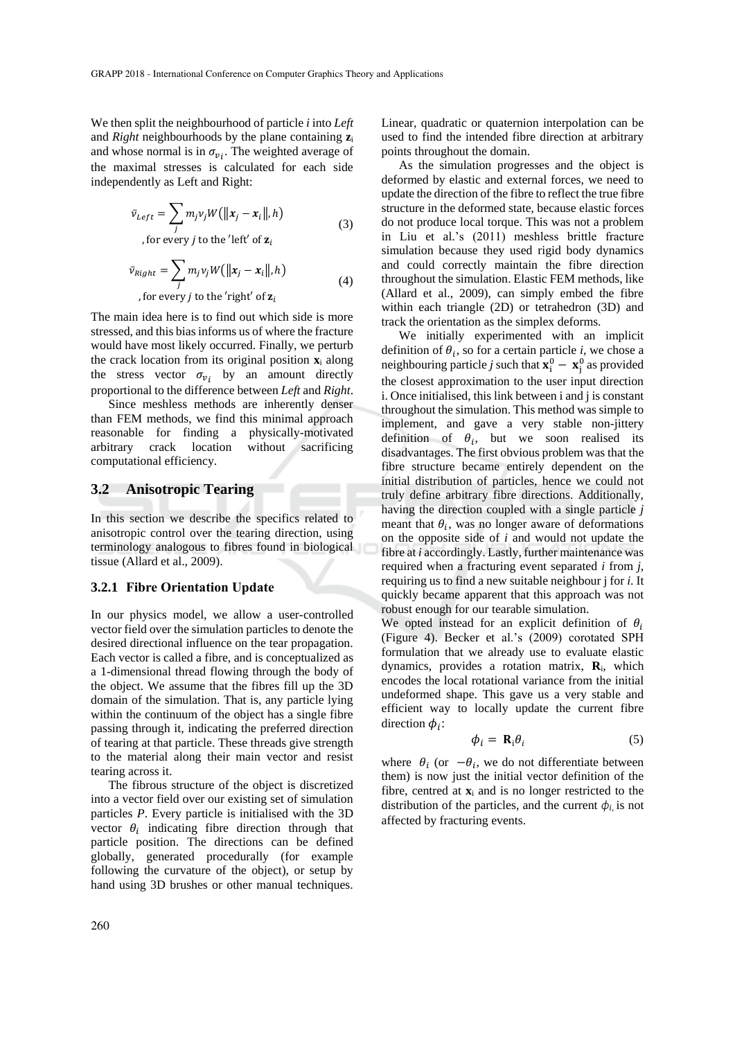We then split the neighbourhood of particle *i* into *Left* and *Right* neighbourhoods by the plane containing **z**<sup>i</sup> and whose normal is in  $\sigma_{v_i}$ . The weighted average of the maximal stresses is calculated for each side independently as Left and Right:

$$
\bar{v}_{Left} = \sum_{j} m_j v_j W(||\mathbf{x}_j - \mathbf{x}_i||, h)
$$
  
, for every *j* to the 'left' of  $\mathbf{z}_i$  (3)

$$
\bar{v}_{Right} = \sum_{j} m_j v_j W(||\mathbf{x}_j - \mathbf{x}_i||, h)
$$
  
, for every *j* to the 'right' of  $\mathbf{z}_i$  (4)

The main idea here is to find out which side is more stressed, and this bias informs us of where the fracture would have most likely occurred. Finally, we perturb the crack location from its original position **x**<sup>i</sup> along the stress vector  $\sigma_{v_i}$  by an amount directly proportional to the difference between *Left* and *Right*.

Since meshless methods are inherently denser than FEM methods, we find this minimal approach reasonable for finding a physically-motivated arbitrary crack location without sacrificing computational efficiency.

#### **3.2 Anisotropic Tearing**

In this section we describe the specifics related to anisotropic control over the tearing direction, using terminology analogous to fibres found in biological tissue (Allard et al., 2009).

#### **3.2.1 Fibre Orientation Update**

In our physics model, we allow a user-controlled vector field over the simulation particles to denote the desired directional influence on the tear propagation. Each vector is called a fibre, and is conceptualized as a 1-dimensional thread flowing through the body of the object. We assume that the fibres fill up the 3D domain of the simulation. That is, any particle lying within the continuum of the object has a single fibre passing through it, indicating the preferred direction of tearing at that particle. These threads give strength to the material along their main vector and resist tearing across it.

The fibrous structure of the object is discretized into a vector field over our existing set of simulation particles *P*. Every particle is initialised with the 3D vector  $\theta_i$  indicating fibre direction through that particle position. The directions can be defined globally, generated procedurally (for example following the curvature of the object), or setup by hand using 3D brushes or other manual techniques.

As the simulation progresses and the object is deformed by elastic and external forces, we need to update the direction of the fibre to reflect the true fibre structure in the deformed state, because elastic forces do not produce local torque. This was not a problem in Liu et al.'s (2011) meshless brittle fracture simulation because they used rigid body dynamics and could correctly maintain the fibre direction throughout the simulation. Elastic FEM methods, like (Allard et al., 2009), can simply embed the fibre within each triangle (2D) or tetrahedron (3D) and track the orientation as the simplex deforms.

We initially experimented with an implicit definition of  $\theta_i$ , so for a certain particle *i*, we chose a neighbouring particle *j* such that  $\mathbf{x}_i^0 - \mathbf{x}_j^0$  as provided the closest approximation to the user input direction i. Once initialised, this link between i and j is constant throughout the simulation. This method was simple to implement, and gave a very stable non-jittery definition of  $\theta_i$ , but we soon realised its disadvantages. The first obvious problem was that the fibre structure became entirely dependent on the initial distribution of particles, hence we could not truly define arbitrary fibre directions. Additionally, having the direction coupled with a single particle *j* meant that  $\theta_i$ , was no longer aware of deformations on the opposite side of *i* and would not update the fibre at *i* accordingly. Lastly, further maintenance was required when a fracturing event separated *i* from *j*, requiring us to find a new suitable neighbour j for *i*. It quickly became apparent that this approach was not robust enough for our tearable simulation.

We opted instead for an explicit definition of  $\theta_i$ (Figure 4). Becker et al.'s (2009) corotated SPH formulation that we already use to evaluate elastic dynamics, provides a rotation matrix, **R**i, which encodes the local rotational variance from the initial undeformed shape. This gave us a very stable and efficient way to locally update the current fibre direction  $\phi_i$ :

$$
\phi_i = \mathbf{R}_i \theta_i \tag{5}
$$

where  $\theta_i$  (or  $-\theta_i$ , we do not differentiate between them) is now just the initial vector definition of the fibre, centred at  $\mathbf{x}_i$  and is no longer restricted to the distribution of the particles, and the current  $\phi_i$  is not affected by fracturing events.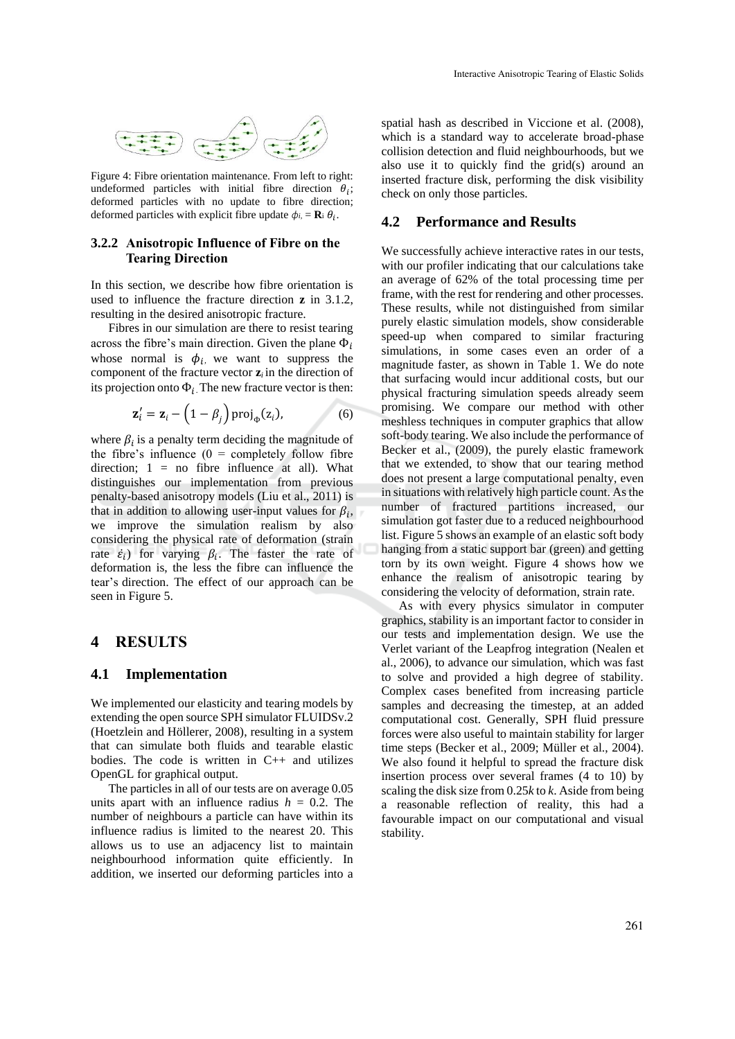

Figure 4: Fibre orientation maintenance. From left to right: undeformed particles with initial fibre direction  $\theta_i$ ; deformed particles with no update to fibre direction; deformed particles with explicit fibre update  $\phi_i = \mathbf{R}_i \theta_i$ .

#### **3.2.2 Anisotropic Influence of Fibre on the Tearing Direction**

In this section, we describe how fibre orientation is used to influence the fracture direction **z** in 3.1.2, resulting in the desired anisotropic fracture.

Fibres in our simulation are there to resist tearing across the fibre's main direction. Given the plane  $\Phi_i$ whose normal is  $\phi_i$ , we want to suppress the component of the fracture vector  $z_i$  in the direction of its projection onto  $\Phi_i$ . The new fracture vector is then:

$$
\mathbf{z}'_i = \mathbf{z}_i - \left(1 - \beta_j\right) \text{proj}_{\Phi}(\mathbf{z}_i),\tag{6}
$$

where  $\beta_i$  is a penalty term deciding the magnitude of the fibre's influence  $(0 = \text{completely follow fibre})$ direction;  $1 = no$  fibre influence at all). What distinguishes our implementation from previous penalty-based anisotropy models (Liu et al., 2011) is that in addition to allowing user-input values for  $\beta_i$ , we improve the simulation realism by also considering the physical rate of deformation (strain rate  $\dot{\varepsilon}_i$ ) for varying  $\beta_i$ . The faster the rate of deformation is, the less the fibre can influence the tear's direction. The effect of our approach can be seen in Figure 5.

## **4 RESULTS**

#### **4.1 Implementation**

We implemented our elasticity and tearing models by extending the open source SPH simulator FLUIDSv.2 (Hoetzlein and Höllerer, 2008), resulting in a system that can simulate both fluids and tearable elastic bodies. The code is written in C++ and utilizes OpenGL for graphical output.

The particles in all of our tests are on average 0.05 units apart with an influence radius  $h = 0.2$ . The number of neighbours a particle can have within its influence radius is limited to the nearest 20. This allows us to use an adjacency list to maintain neighbourhood information quite efficiently. In addition, we inserted our deforming particles into a

spatial hash as described in Viccione et al. (2008), which is a standard way to accelerate broad-phase collision detection and fluid neighbourhoods, but we also use it to quickly find the grid(s) around an inserted fracture disk, performing the disk visibility check on only those particles.

### **4.2 Performance and Results**

We successfully achieve interactive rates in our tests, with our profiler indicating that our calculations take an average of 62% of the total processing time per frame, with the rest for rendering and other processes. These results, while not distinguished from similar purely elastic simulation models, show considerable speed-up when compared to similar fracturing simulations, in some cases even an order of a magnitude faster, as shown in Table 1. We do note that surfacing would incur additional costs, but our physical fracturing simulation speeds already seem promising. We compare our method with other meshless techniques in computer graphics that allow soft-body tearing. We also include the performance of Becker et al., (2009), the purely elastic framework that we extended, to show that our tearing method does not present a large computational penalty, even in situations with relatively high particle count. As the number of fractured partitions increased, our simulation got faster due to a reduced neighbourhood list. Figure 5 shows an example of an elastic soft body hanging from a static support bar (green) and getting torn by its own weight. Figure 4 shows how we enhance the realism of anisotropic tearing by considering the velocity of deformation, strain rate.

As with every physics simulator in computer graphics, stability is an important factor to consider in our tests and implementation design. We use the Verlet variant of the Leapfrog integration (Nealen et al., 2006), to advance our simulation, which was fast to solve and provided a high degree of stability. Complex cases benefited from increasing particle samples and decreasing the timestep, at an added computational cost. Generally, SPH fluid pressure forces were also useful to maintain stability for larger time steps (Becker et al., 2009; Müller et al., 2004). We also found it helpful to spread the fracture disk insertion process over several frames (4 to 10) by scaling the disk size from 0.25*k* to *k*. Aside from being a reasonable reflection of reality, this had a favourable impact on our computational and visual stability.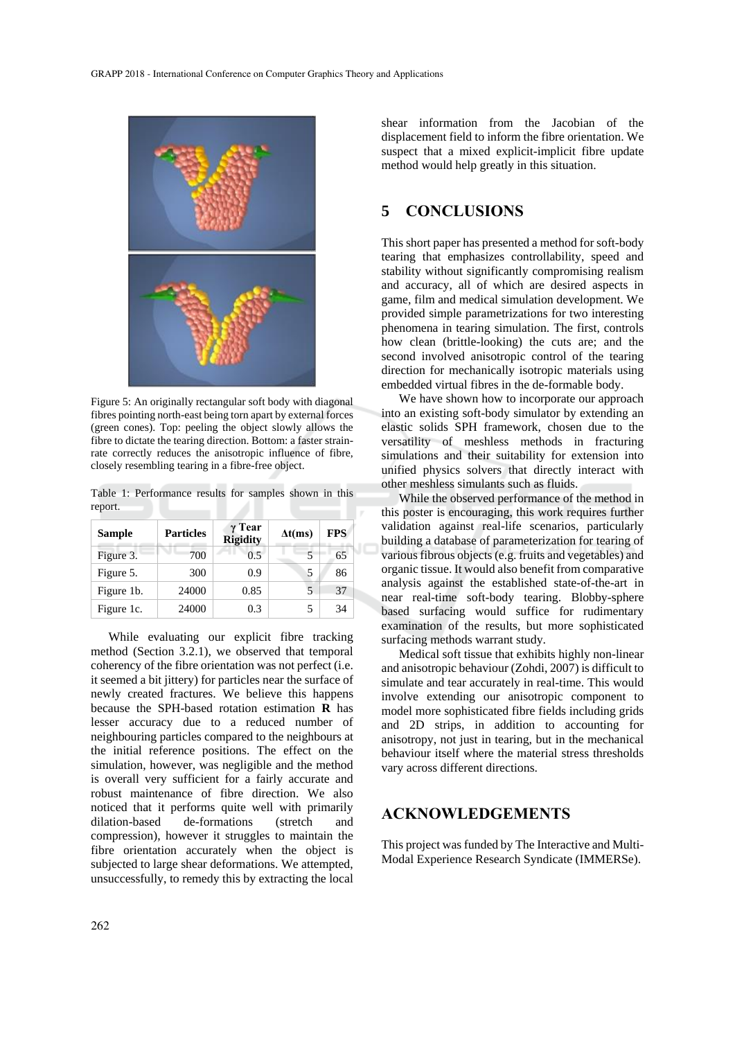

Figure 5: An originally rectangular soft body with diagonal fibres pointing north-east being torn apart by external forces (green cones). Top: peeling the object slowly allows the fibre to dictate the tearing direction. Bottom: a faster strainrate correctly reduces the anisotropic influence of fibre, closely resembling tearing in a fibre-free object.

Table 1: Performance results for samples shown in this report.

| <b>Sample</b> | <b>Particles</b> | $\gamma$ Tear<br><b>Rigidity</b> | $\Delta t$ (ms) | <b>FPS</b> |
|---------------|------------------|----------------------------------|-----------------|------------|
| Figure 3.     | 700              | 0.5                              |                 | 65         |
| Figure 5.     | 300              | 0.9                              | 5               | 86         |
| Figure 1b.    | 24000            | 0.85                             |                 | 37         |
| Figure 1c.    | 24000            | 0.3                              | 5               | 34         |

While evaluating our explicit fibre tracking method (Section 3.2.1), we observed that temporal coherency of the fibre orientation was not perfect (i.e. it seemed a bit jittery) for particles near the surface of newly created fractures. We believe this happens because the SPH-based rotation estimation **R** has lesser accuracy due to a reduced number of neighbouring particles compared to the neighbours at the initial reference positions. The effect on the simulation, however, was negligible and the method is overall very sufficient for a fairly accurate and robust maintenance of fibre direction. We also noticed that it performs quite well with primarily dilation-based de-formations (stretch and compression), however it struggles to maintain the fibre orientation accurately when the object is subjected to large shear deformations. We attempted, unsuccessfully, to remedy this by extracting the local

shear information from the Jacobian of the displacement field to inform the fibre orientation. We suspect that a mixed explicit-implicit fibre update method would help greatly in this situation.

## **5 CONCLUSIONS**

This short paper has presented a method for soft-body tearing that emphasizes controllability, speed and stability without significantly compromising realism and accuracy, all of which are desired aspects in game, film and medical simulation development. We provided simple parametrizations for two interesting phenomena in tearing simulation. The first, controls how clean (brittle-looking) the cuts are; and the second involved anisotropic control of the tearing direction for mechanically isotropic materials using embedded virtual fibres in the de-formable body.

We have shown how to incorporate our approach into an existing soft-body simulator by extending an elastic solids SPH framework, chosen due to the versatility of meshless methods in fracturing simulations and their suitability for extension into unified physics solvers that directly interact with other meshless simulants such as fluids.

While the observed performance of the method in this poster is encouraging, this work requires further validation against real-life scenarios, particularly building a database of parameterization for tearing of various fibrous objects (e.g. fruits and vegetables) and organic tissue. It would also benefit from comparative analysis against the established state-of-the-art in near real-time soft-body tearing. Blobby-sphere based surfacing would suffice for rudimentary examination of the results, but more sophisticated surfacing methods warrant study.

Medical soft tissue that exhibits highly non-linear and anisotropic behaviour (Zohdi, 2007) is difficult to simulate and tear accurately in real-time. This would involve extending our anisotropic component to model more sophisticated fibre fields including grids and 2D strips, in addition to accounting for anisotropy, not just in tearing, but in the mechanical behaviour itself where the material stress thresholds vary across different directions.

## **ACKNOWLEDGEMENTS**

This project was funded by The Interactive and Multi-Modal Experience Research Syndicate (IMMERSe).